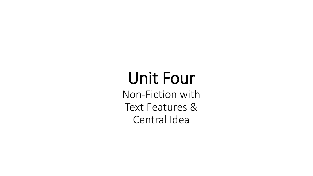# Unit Four

Non-Fiction with Text Features & Central Idea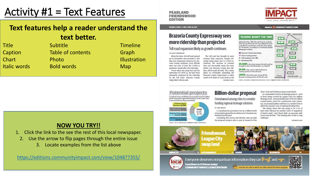### Activity  $#1 =$  Text Features

#### **Text features help a reader understand the text better.**

| <b>Title</b>        | Subtitle          | <b>Timeline</b> |
|---------------------|-------------------|-----------------|
| Caption             | Table of contents | Graph           |
| Chart               | Photo             | Illustratio     |
| <b>Italic words</b> | <b>Bold words</b> | Map             |

**Illustration** 

#### **PEARLAND FRIENDSWOOD EDITION**



**GNUNE AT CI COMMUNITYIMPACT.COM** 

VOLUME Z ISSUE 6 | MAY 7-JUNE 10, 2021

#### **Brazoria County Expressway sees** more ridership than projected

Toll road expansion likely as growth continues

*RY HALEY MORRISON* 

When the Hwy. 288 toll road opened up in November and provided a fast lane into downtown Houston for Brazorta County restdents, local officials were not sure of how the COVID-19 pandemic would affect the ridership. "From what was protected and the unknowns of COVID-19, we have been pleasantly surprised by the ridership on the toll road." Brazorta County Judge Matt Sebesta said.

The toll road has brought in more revenue than expected, despite ridership being down due to COVID-19. However, the increase in revenue does not necessarily mean the road, which cost Brazoria County \$80 million, will be paid off early. The county plans on eventually expanding the Brazoria County Expressway to miles south of its limit at Croix Road as the CONTINUED ON 16

BY JAKE MAGEE

COMMUNITYIMPACT.COM/CIPATRON

Pearland and beyond.

Riding the Hwy. 288 toll road from its southern 50.80 limit at Croix Road into the Texas Medical Center costs \$8.10 at peak hours, with the drive taking  $(a)$ 16-24 minutes, according to a Community Import **S100 Brazoria County Expressway** \$130 **ILL** Harris County portion <sup>©</sup> Tolls leading to the TMC \$1.56M is the total revenue the toll road has brought in since late November, as of April 9. \$130

\$1.80 is the cost to ride the Brazoria County portion of the toll road.

Nowspaper analysis.

<sup>©</sup> Remaining tolls

**Billion-dollar proposal** 

Friendswood among cities to consider

A consultant has presented over \$1.6 billion worth

Consulting firm Freese and Nichols came up with

the proposed projects after a year of research of the

of potential regional flood solutions for Friendswood,

funding regional drainage solutions

Scan the QR code to watch our video about the Patron program



SOURCE- BLUERIDGE TRANSPORTATION GROUP, TXDOT/ COMMUNITY IMPACT NEWSPAPER

Clear Creek and Dtcktnson Bayou watersheds. As communities fund local drainage protects-such

as those being covered by League City's \$73 million drainage bond-and potentially part of the \$32 billion coastal barrier posed for construction near Galveston, local municipalities will have to consider how to afford the massive costs of regional flooding fixes.

"We always knew this was going to be a lot of hard work followed by another order of magnitude of harder work," said Chuck Wolf, an associate with Freese and Nichols. "The funding side of this is a big challenge."

**CONTINUED ON 18** 

#### **NOW YOU TRY!!**

- 1. Click the link to the see the rest of this local newspaper.
	- 2. Use the arrow to flip pages through the entire issue
		- 3. Locate examples from the list above

<https://editions.communityimpact.com/view/104877355/>

#### Potential projects Consultant Freese and Nichols has presented over \$1.6 billion worth of potential regional flood projects in the Lower Clear Creek and Dickinson Bayou watersheds.

**Dickinson Ray** stention: \$220M Cloar Crook conveyant Total: mprovements: \$275M  $$1.6B-$ \$1.7B channel: \$2801 **SR75M-SQ75** 

SOURCE: FREESE AND NICHOLS/COMMUNITY IMPACT NEWSPAPER

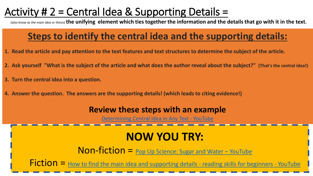## Activity # 2 = Central Idea & Supporting Details =

*(also know as the main idea or thesis*) **the unifying element which ties together the information and the details that go with it in the text.**

### **Steps to identify the central idea and the supporting details:**

- **1. Read the article and pay attention to the text features and text structures to determine the subject of the article.**
- **2. Ask yourself "What is the subject of the article and what does the author reveal about the subject?" (That's the central idea!)**
- **3. Turn the central idea into a question.**
- **4. Answer the question. The answers are the supporting details! (which leads to citing evidence!)**

#### **Review these steps with an example**

[Determining Central Idea in Any Text -](https://www.youtube.com/watch?v=cueg_JqY03o) YouTube

### **NOW YOU TRY:**

Non-fiction = [Pop Up Science: Sugar and Water –](https://www.youtube.com/watch?v=ZmWYG7qh0QA) YouTube

Fiction = [How to find the main idea and supporting details](https://www.youtube.com/watch?v=42SJTk2XSi4) - reading skills for beginners - YouTube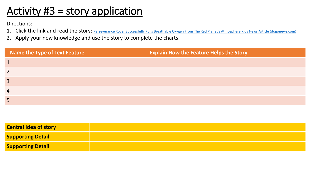# Activity #3 = story application

Directions:

- 1. Click the link and read the story: **Perseverance Rover Successfully Pulls Breathable Oxygen From The Red Planet's Atmosphere Kids News Article (dogonews.com)**
- 2. Apply your new knowledge and use the story to complete the charts.

| <b>Name the Type of Text Feature</b> | <b>Explain How the Feature Helps the Story</b> |
|--------------------------------------|------------------------------------------------|
| $\mathbf 1$                          |                                                |
| $\overline{2}$                       |                                                |
| $\overline{3}$                       |                                                |
| $\overline{4}$                       |                                                |
|                                      |                                                |

| <b>Central Idea of story</b> |  |
|------------------------------|--|
| <b>Supporting Detail</b>     |  |
| <b>Supporting Detail</b>     |  |